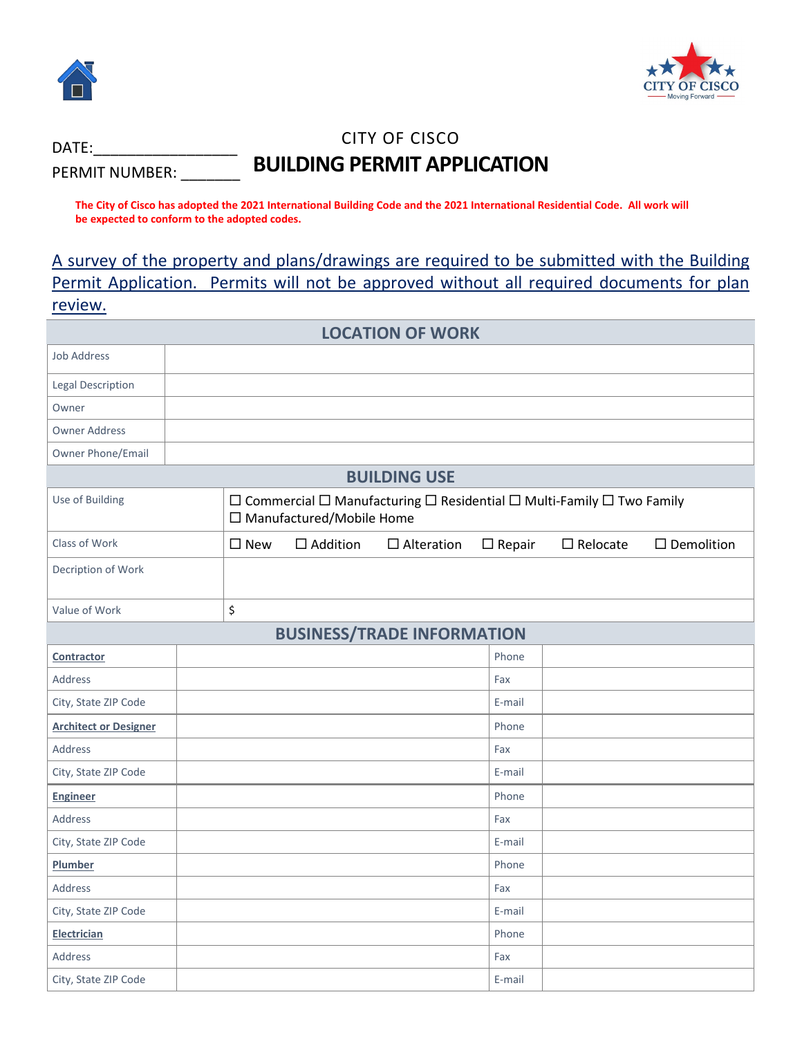

DATE:

PERMIT NUMBER:



# CITY OF CISCO **BUILDING PERMIT APPLICATION**

**The City of Cisco has adopted the 2021 International Building Code and the 2021 International Residential Code. All work will be expected to conform to the adopted codes.** 

A survey of the property and plans/drawings are required to be submitted with the Building Permit Application. Permits will not be approved without all required documents for plan review.

| <b>LOCATION OF WORK</b>           |  |                                                                                                                               |                 |                   |               |                 |                      |
|-----------------------------------|--|-------------------------------------------------------------------------------------------------------------------------------|-----------------|-------------------|---------------|-----------------|----------------------|
| <b>Job Address</b>                |  |                                                                                                                               |                 |                   |               |                 |                      |
| <b>Legal Description</b>          |  |                                                                                                                               |                 |                   |               |                 |                      |
| Owner                             |  |                                                                                                                               |                 |                   |               |                 |                      |
| <b>Owner Address</b>              |  |                                                                                                                               |                 |                   |               |                 |                      |
| Owner Phone/Email                 |  |                                                                                                                               |                 |                   |               |                 |                      |
| <b>BUILDING USE</b>               |  |                                                                                                                               |                 |                   |               |                 |                      |
| Use of Building                   |  | $\Box$ Commercial $\Box$ Manufacturing $\Box$ Residential $\Box$ Multi-Family $\Box$ Two Family<br>□ Manufactured/Mobile Home |                 |                   |               |                 |                      |
| Class of Work                     |  | $\square$ New                                                                                                                 | $\Box$ Addition | $\Box$ Alteration | $\Box$ Repair | $\Box$ Relocate | $\square$ Demolition |
| Decription of Work                |  |                                                                                                                               |                 |                   |               |                 |                      |
| Value of Work                     |  | \$                                                                                                                            |                 |                   |               |                 |                      |
| <b>BUSINESS/TRADE INFORMATION</b> |  |                                                                                                                               |                 |                   |               |                 |                      |
| Contractor                        |  |                                                                                                                               |                 |                   | Phone         |                 |                      |
| <b>Address</b>                    |  |                                                                                                                               |                 |                   | Fax           |                 |                      |
| City, State ZIP Code              |  |                                                                                                                               |                 |                   | E-mail        |                 |                      |
| <b>Architect or Designer</b>      |  |                                                                                                                               |                 |                   | Phone         |                 |                      |
| <b>Address</b>                    |  |                                                                                                                               |                 |                   | Fax           |                 |                      |
| City, State ZIP Code              |  |                                                                                                                               |                 |                   | E-mail        |                 |                      |
| <b>Engineer</b>                   |  |                                                                                                                               |                 |                   | Phone         |                 |                      |
| <b>Address</b>                    |  |                                                                                                                               |                 |                   | Fax           |                 |                      |
| City, State ZIP Code              |  |                                                                                                                               |                 |                   | E-mail        |                 |                      |
| Plumber                           |  |                                                                                                                               |                 |                   | Phone         |                 |                      |
| Address                           |  |                                                                                                                               |                 |                   | Fax           |                 |                      |
| City, State ZIP Code              |  |                                                                                                                               |                 |                   | E-mail        |                 |                      |
| <b>Electrician</b>                |  |                                                                                                                               |                 |                   | Phone         |                 |                      |
| Address                           |  |                                                                                                                               |                 |                   | Fax           |                 |                      |
| City, State ZIP Code              |  |                                                                                                                               |                 |                   | E-mail        |                 |                      |